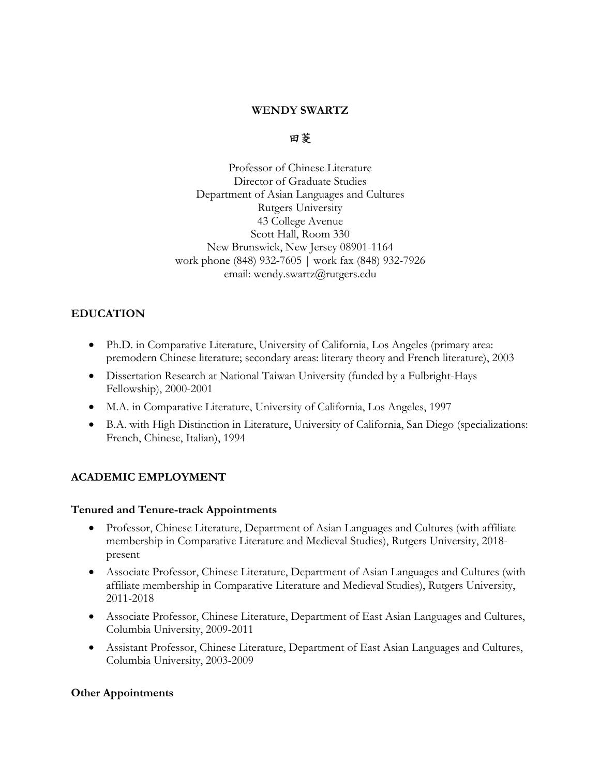### **WENDY SWARTZ**

#### **⽥菱**

Professor of Chinese Literature Director of Graduate Studies Department of Asian Languages and Cultures Rutgers University 43 College Avenue Scott Hall, Room 330 New Brunswick, New Jersey 08901-1164 work phone (848) 932-7605 | work fax (848) 932-7926 email: wendy.swartz@rutgers.edu

# **EDUCATION**

- Ph.D. in Comparative Literature, University of California, Los Angeles (primary area: premodern Chinese literature; secondary areas: literary theory and French literature), 2003
- Dissertation Research at National Taiwan University (funded by a Fulbright-Hays Fellowship), 2000-2001
- M.A. in Comparative Literature, University of California, Los Angeles, 1997
- B.A. with High Distinction in Literature, University of California, San Diego (specializations: French, Chinese, Italian), 1994

# **ACADEMIC EMPLOYMENT**

### **Tenured and Tenure-track Appointments**

- Professor, Chinese Literature, Department of Asian Languages and Cultures (with affiliate membership in Comparative Literature and Medieval Studies), Rutgers University, 2018 present
- Associate Professor, Chinese Literature, Department of Asian Languages and Cultures (with affiliate membership in Comparative Literature and Medieval Studies), Rutgers University, 2011-2018
- Associate Professor, Chinese Literature, Department of East Asian Languages and Cultures, Columbia University, 2009-2011
- Assistant Professor, Chinese Literature, Department of East Asian Languages and Cultures, Columbia University, 2003-2009

### **Other Appointments**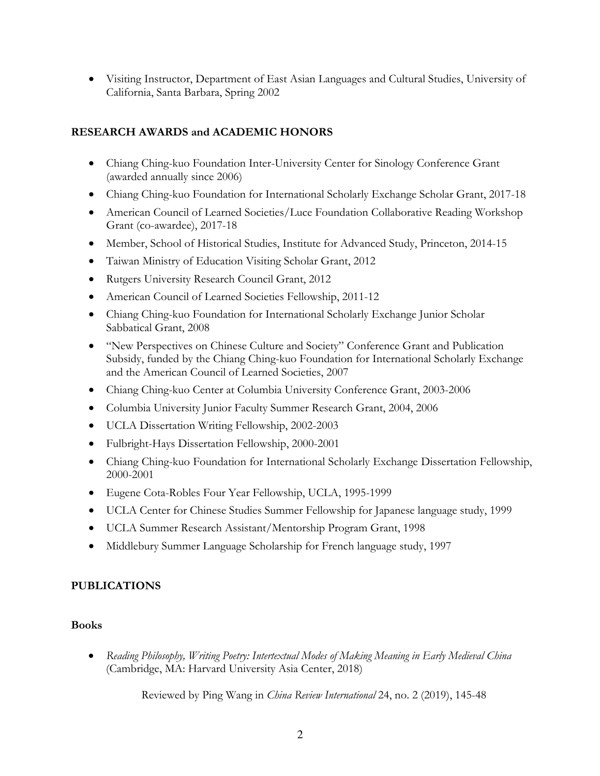• Visiting Instructor, Department of East Asian Languages and Cultural Studies, University of California, Santa Barbara, Spring 2002

### **RESEARCH AWARDS and ACADEMIC HONORS**

- Chiang Ching-kuo Foundation Inter-University Center for Sinology Conference Grant (awarded annually since 2006)
- Chiang Ching-kuo Foundation for International Scholarly Exchange Scholar Grant, 2017-18
- American Council of Learned Societies/Luce Foundation Collaborative Reading Workshop Grant (co-awardee), 2017-18
- Member, School of Historical Studies, Institute for Advanced Study, Princeton, 2014-15
- Taiwan Ministry of Education Visiting Scholar Grant, 2012
- Rutgers University Research Council Grant, 2012
- American Council of Learned Societies Fellowship, 2011-12
- Chiang Ching-kuo Foundation for International Scholarly Exchange Junior Scholar Sabbatical Grant, 2008
- "New Perspectives on Chinese Culture and Society" Conference Grant and Publication Subsidy, funded by the Chiang Ching-kuo Foundation for International Scholarly Exchange and the American Council of Learned Societies, 2007
- Chiang Ching-kuo Center at Columbia University Conference Grant, 2003-2006
- Columbia University Junior Faculty Summer Research Grant, 2004, 2006
- UCLA Dissertation Writing Fellowship, 2002-2003
- Fulbright-Hays Dissertation Fellowship, 2000-2001
- Chiang Ching-kuo Foundation for International Scholarly Exchange Dissertation Fellowship, 2000-2001
- Eugene Cota-Robles Four Year Fellowship, UCLA, 1995-1999
- UCLA Center for Chinese Studies Summer Fellowship for Japanese language study, 1999
- UCLA Summer Research Assistant/Mentorship Program Grant, 1998
- Middlebury Summer Language Scholarship for French language study, 1997

#### **PUBLICATIONS**

#### **Books**

• *Reading Philosophy, Writing Poetry: Intertextual Modes of Making Meaning in Early Medieval China*  (Cambridge, MA: Harvard University Asia Center, 2018)

Reviewed by Ping Wang in *China Review International* 24, no. 2 (2019), 145-48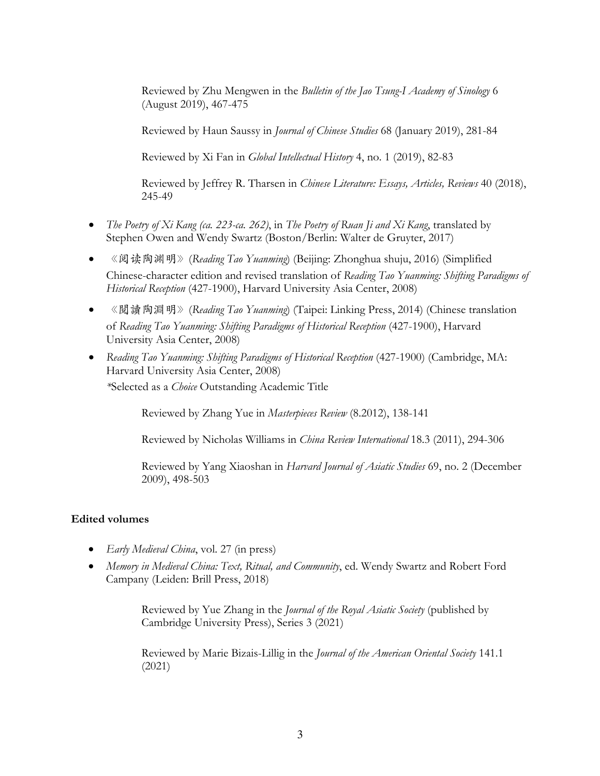Reviewed by Zhu Mengwen in the *Bulletin of the Jao Tsung-I Academy of Sinology* 6 (August 2019), 467-475

Reviewed by Haun Saussy in *Journal of Chinese Studies* 68 (January 2019), 281-84

Reviewed by Xi Fan in *Global Intellectual History* 4, no. 1 (2019), 82-83

Reviewed by Jeffrey R. Tharsen in *Chinese Literature: Essays, Articles, Reviews* 40 (2018), 245-49

- *The Poetry of Xi Kang (ca. 223-ca. 262)*, in *The Poetry of Ruan Ji and Xi Kang*, translated by Stephen Owen and Wendy Swartz (Boston/Berlin: Walter de Gruyter, 2017)
- 《阅读陶渊明》(*Reading Tao Yuanming*) (Beijing: Zhonghua shuju, 2016) (Simplified Chinese-character edition and revised translation of *Reading Tao Yuanming: Shifting Paradigms of Historical Reception* (427-1900), Harvard University Asia Center, 2008)
- 《閱讀陶淵明》(*Reading Tao Yuanming*) (Taipei: Linking Press, 2014) (Chinese translation of *Reading Tao Yuanming: Shifting Paradigms of Historical Reception* (427-1900), Harvard University Asia Center, 2008)
- *Reading Tao Yuanming: Shifting Paradigms of Historical Reception* (427-1900) (Cambridge, MA: Harvard University Asia Center, 2008)

*\**Selected as a *Choice* Outstanding Academic Title

Reviewed by Zhang Yue in *Masterpieces Review* (8.2012), 138-141

Reviewed by Nicholas Williams in *China Review International* 18.3 (2011), 294-306

Reviewed by Yang Xiaoshan in *Harvard Journal of Asiatic Studies* 69, no. 2 (December 2009), 498-503

# **Edited volumes**

- *Early Medieval China*, vol. 27 (in press)
- *Memory in Medieval China: Text, Ritual, and Community*, ed. Wendy Swartz and Robert Ford Campany (Leiden: Brill Press, 2018)

Reviewed by Yue Zhang in the *Journal of the Royal Asiatic Society* (published by Cambridge University Press), Series 3 (2021)

Reviewed by Marie Bizais-Lillig in the *Journal of the American Oriental Society* 141.1 (2021)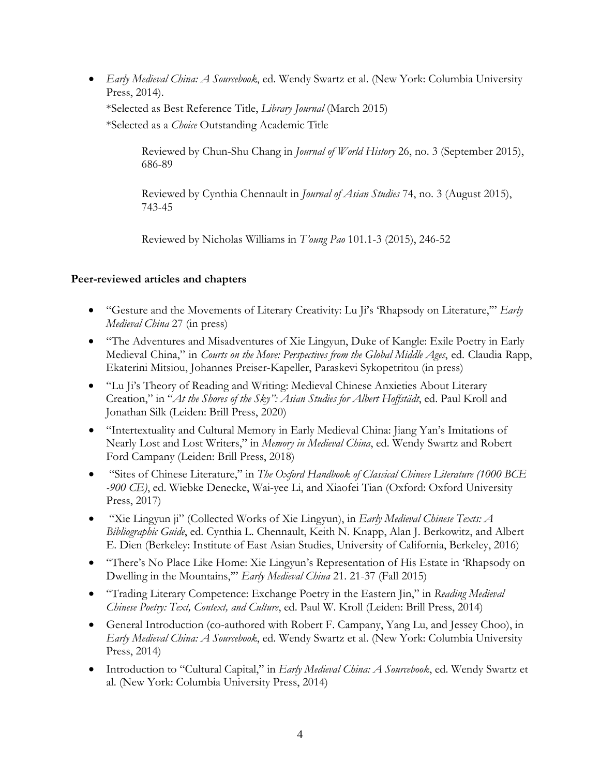• *Early Medieval China: A Sourcebook*, ed. Wendy Swartz et al. (New York: Columbia University Press, 2014).

\*Selected as Best Reference Title, *Library Journal* (March 2015) \*Selected as a *Choice* Outstanding Academic Title

> Reviewed by Chun-Shu Chang in *Journal of World History* 26, no. 3 (September 2015), 686-89

Reviewed by Cynthia Chennault in *Journal of Asian Studies* 74, no. 3 (August 2015), 743-45

Reviewed by Nicholas Williams in *T'oung Pao* 101.1-3 (2015), 246-52

### **Peer-reviewed articles and chapters**

- "Gesture and the Movements of Literary Creativity: Lu Ji's 'Rhapsody on Literature,'" *Early Medieval China* 27 (in press)
- "The Adventures and Misadventures of Xie Lingyun, Duke of Kangle: Exile Poetry in Early Medieval China," in *Courts on the Move: Perspectives from the Global Middle Ages*, ed. Claudia Rapp, Ekaterini Mitsiou, Johannes Preiser-Kapeller, Paraskevi Sykopetritou (in press)
- "Lu Ji's Theory of Reading and Writing: Medieval Chinese Anxieties About Literary Creation," in "*At the Shores of the Sky": Asian Studies for Albert Hoffstädt*, ed. Paul Kroll and Jonathan Silk (Leiden: Brill Press, 2020)
- "Intertextuality and Cultural Memory in Early Medieval China: Jiang Yan's Imitations of Nearly Lost and Lost Writers," in *Memory in Medieval China*, ed. Wendy Swartz and Robert Ford Campany (Leiden: Brill Press, 2018)
- "Sites of Chinese Literature," in *The Oxford Handbook of Classical Chinese Literature (1000 BCE -900 CE)*, ed. Wiebke Denecke, Wai-yee Li, and Xiaofei Tian (Oxford: Oxford University Press, 2017)
- "Xie Lingyun ji" (Collected Works of Xie Lingyun), in *Early Medieval Chinese Texts: A Bibliographic Guide*, ed. Cynthia L. Chennault, Keith N. Knapp, Alan J. Berkowitz, and Albert E. Dien (Berkeley: Institute of East Asian Studies, University of California, Berkeley, 2016)
- "There's No Place Like Home: Xie Lingyun's Representation of His Estate in 'Rhapsody on Dwelling in the Mountains,'" *Early Medieval China* 21. 21-37 (Fall 2015)
- "Trading Literary Competence: Exchange Poetry in the Eastern Jin," in *Reading Medieval Chinese Poetry: Text, Context, and Culture*, ed. Paul W. Kroll (Leiden: Brill Press, 2014)
- General Introduction (co-authored with Robert F. Campany, Yang Lu, and Jessey Choo), in *Early Medieval China: A Sourcebook*, ed. Wendy Swartz et al. (New York: Columbia University Press, 2014)
- Introduction to "Cultural Capital," in *Early Medieval China: A Sourcebook*, ed. Wendy Swartz et al. (New York: Columbia University Press, 2014)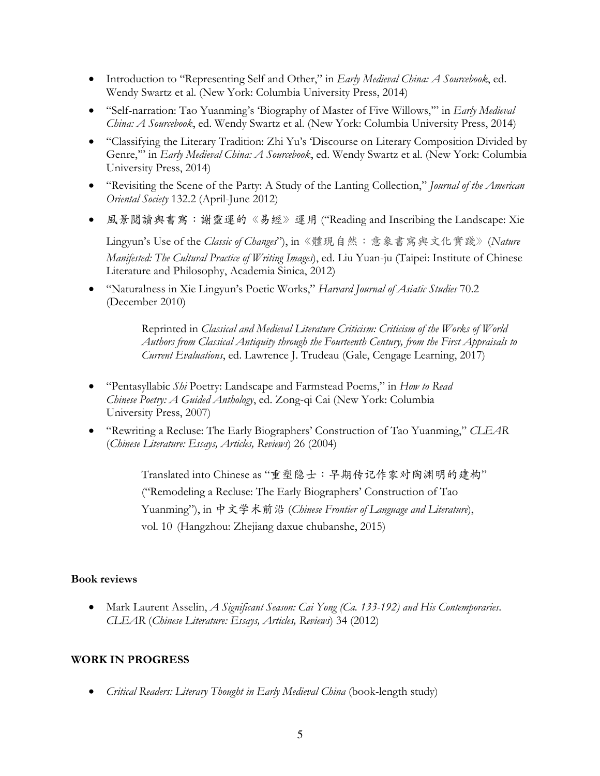- Introduction to "Representing Self and Other," in *Early Medieval China: A Sourcebook*, ed. Wendy Swartz et al. (New York: Columbia University Press, 2014)
- "Self-narration: Tao Yuanming's 'Biography of Master of Five Willows,'" in *Early Medieval China: A Sourcebook*, ed. Wendy Swartz et al. (New York: Columbia University Press, 2014)
- "Classifying the Literary Tradition: Zhi Yu's 'Discourse on Literary Composition Divided by Genre,'" in *Early Medieval China: A Sourcebook*, ed. Wendy Swartz et al. (New York: Columbia University Press, 2014)
- "Revisiting the Scene of the Party: A Study of the Lanting Collection," *Journal of the American Oriental Society* 132.2 (April-June 2012)
- 風景閱讀與書寫:謝靈運的《易經》運用 ("Reading and Inscribing the Landscape: Xie

Lingyun's Use of the *Classic of Changes*"), in《體現⾃然:意象書寫與⽂化實踐》(*Nature Manifested: The Cultural Practice of Writing Images*), ed. Liu Yuan-ju (Taipei: Institute of Chinese Literature and Philosophy, Academia Sinica, 2012)

• "Naturalness in Xie Lingyun's Poetic Works," *Harvard Journal of Asiatic Studies* 70.2 (December 2010)

> Reprinted in *Classical and Medieval Literature Criticism: Criticism of the Works of World Authors from Classical Antiquity through the Fourteenth Century, from the First Appraisals to Current Evaluations*, ed. Lawrence J. Trudeau (Gale, Cengage Learning, 2017)

- "Pentasyllabic *Shi* Poetry: Landscape and Farmstead Poems," in *How to Read Chinese Poetry: A Guided Anthology*, ed. Zong-qi Cai (New York: Columbia University Press, 2007)
- "Rewriting a Recluse: The Early Biographers' Construction of Tao Yuanming," *CLEAR* (*Chinese Literature: Essays, Articles, Reviews*) 26 (2004)

Translated into Chinese as "重塑隐士: 早期传记作家对陶渊明的建构" ("Remodeling a Recluse: The Early Biographers' Construction of Tao Yuanming"), in 中⽂学术前沿 (*Chinese Frontier of Language and Literature*), vol. 10 (Hangzhou: Zhejiang daxue chubanshe, 2015)

#### **Book reviews**

• Mark Laurent Asselin, *A Significant Season: Cai Yong (Ca. 133-192) and His Contemporaries*. *CLEAR* (*Chinese Literature: Essays, Articles, Reviews*) 34 (2012)

### **WORK IN PROGRESS**

• *Critical Readers: Literary Thought in Early Medieval China* (book-length study)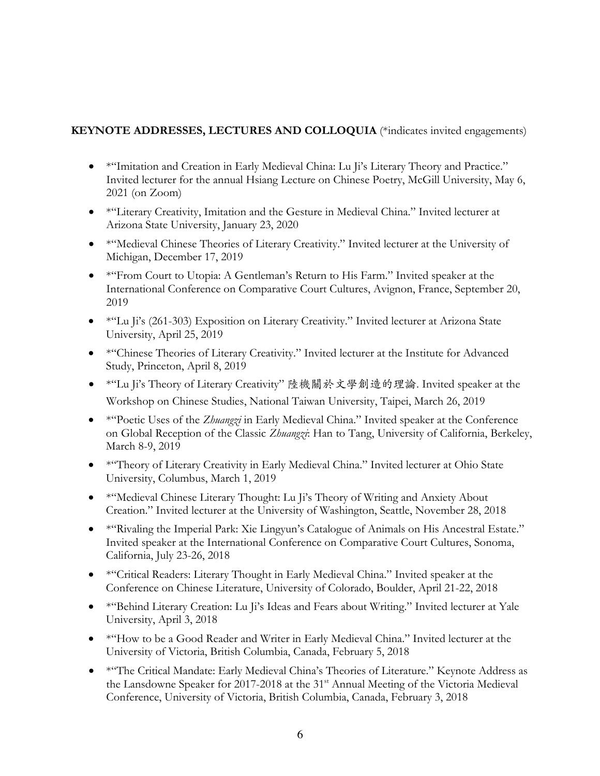### **KEYNOTE ADDRESSES, LECTURES AND COLLOQUIA** (\*indicates invited engagements)

- \*"Imitation and Creation in Early Medieval China: Lu Ji's Literary Theory and Practice." Invited lecturer for the annual Hsiang Lecture on Chinese Poetry, McGill University, May 6, 2021 (on Zoom)
- \*"Literary Creativity, Imitation and the Gesture in Medieval China." Invited lecturer at Arizona State University, January 23, 2020
- \* "Medieval Chinese Theories of Literary Creativity." Invited lecturer at the University of Michigan, December 17, 2019
- \*"From Court to Utopia: A Gentleman's Return to His Farm." Invited speaker at the International Conference on Comparative Court Cultures, Avignon, France, September 20, 2019
- \*"Lu Ji's (261-303) Exposition on Literary Creativity." Invited lecturer at Arizona State University, April 25, 2019
- \*"Chinese Theories of Literary Creativity." Invited lecturer at the Institute for Advanced Study, Princeton, April 8, 2019
- \*"Lu Ji's Theory of Literary Creativity" 陸機關於⽂學創造的理論. Invited speaker at the Workshop on Chinese Studies, National Taiwan University, Taipei, March 26, 2019
- \*"Poetic Uses of the *Zhuangzi* in Early Medieval China." Invited speaker at the Conference on Global Reception of the Classic *Zhuangzi*: Han to Tang, University of California, Berkeley, March 8-9, 2019
- \*"Theory of Literary Creativity in Early Medieval China." Invited lecturer at Ohio State University, Columbus, March 1, 2019
- \* "Medieval Chinese Literary Thought: Lu Ji's Theory of Writing and Anxiety About Creation." Invited lecturer at the University of Washington, Seattle, November 28, 2018
- \* "Rivaling the Imperial Park: Xie Lingyun's Catalogue of Animals on His Ancestral Estate." Invited speaker at the International Conference on Comparative Court Cultures, Sonoma, California, July 23-26, 2018
- \* "Critical Readers: Literary Thought in Early Medieval China." Invited speaker at the Conference on Chinese Literature, University of Colorado, Boulder, April 21-22, 2018
- \*"Behind Literary Creation: Lu Ji's Ideas and Fears about Writing." Invited lecturer at Yale University, April 3, 2018
- \* "How to be a Good Reader and Writer in Early Medieval China." Invited lecturer at the University of Victoria, British Columbia, Canada, February 5, 2018
- \* "The Critical Mandate: Early Medieval China's Theories of Literature." Keynote Address as the Lansdowne Speaker for 2017-2018 at the 31<sup>st</sup> Annual Meeting of the Victoria Medieval Conference, University of Victoria, British Columbia, Canada, February 3, 2018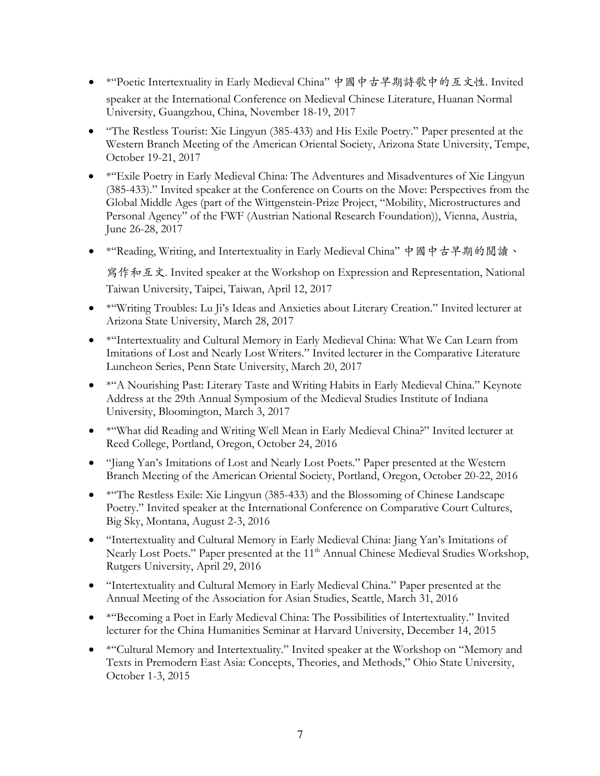- \*"Poetic Intertextuality in Early Medieval China" 中國中古早期詩歌中的互文性. Invited speaker at the International Conference on Medieval Chinese Literature, Huanan Normal University, Guangzhou, China, November 18-19, 2017
- "The Restless Tourist: Xie Lingyun (385-433) and His Exile Poetry." Paper presented at the Western Branch Meeting of the American Oriental Society, Arizona State University, Tempe, October 19-21, 2017
- \* "Exile Poetry in Early Medieval China: The Adventures and Misadventures of Xie Lingyun (385-433)." Invited speaker at the Conference on Courts on the Move: Perspectives from the Global Middle Ages (part of the Wittgenstein-Prize Project, "Mobility, Microstructures and Personal Agency" of the FWF (Austrian National Research Foundation)), Vienna, Austria, June 26-28, 2017
- \*"Reading, Writing, and Intertextuality in Early Medieval China" 中國中古早期的閱讀、

寫作和互⽂. Invited speaker at the Workshop on Expression and Representation, National Taiwan University, Taipei, Taiwan, April 12, 2017

- \*"Writing Troubles: Lu Ji's Ideas and Anxieties about Literary Creation." Invited lecturer at Arizona State University, March 28, 2017
- \*"Intertextuality and Cultural Memory in Early Medieval China: What We Can Learn from Imitations of Lost and Nearly Lost Writers." Invited lecturer in the Comparative Literature Luncheon Series, Penn State University, March 20, 2017
- \* <sup>\*</sup>A Nourishing Past: Literary Taste and Writing Habits in Early Medieval China." Keynote Address at the 29th Annual Symposium of the Medieval Studies Institute of Indiana University, Bloomington, March 3, 2017
- \*"What did Reading and Writing Well Mean in Early Medieval China?" Invited lecturer at Reed College, Portland, Oregon, October 24, 2016
- "Jiang Yan's Imitations of Lost and Nearly Lost Poets." Paper presented at the Western Branch Meeting of the American Oriental Society, Portland, Oregon, October 20-22, 2016
- \* \*\*\*The Restless Exile: Xie Lingyun (385-433) and the Blossoming of Chinese Landscape Poetry." Invited speaker at the International Conference on Comparative Court Cultures, Big Sky, Montana, August 2-3, 2016
- "Intertextuality and Cultural Memory in Early Medieval China: Jiang Yan's Imitations of Nearly Lost Poets." Paper presented at the 11<sup>th</sup> Annual Chinese Medieval Studies Workshop, Rutgers University, April 29, 2016
- "Intertextuality and Cultural Memory in Early Medieval China." Paper presented at the Annual Meeting of the Association for Asian Studies, Seattle, March 31, 2016
- \*"Becoming a Poet in Early Medieval China: The Possibilities of Intertextuality." Invited lecturer for the China Humanities Seminar at Harvard University, December 14, 2015
- \* "Cultural Memory and Intertextuality." Invited speaker at the Workshop on "Memory and Texts in Premodern East Asia: Concepts, Theories, and Methods," Ohio State University, October 1-3, 2015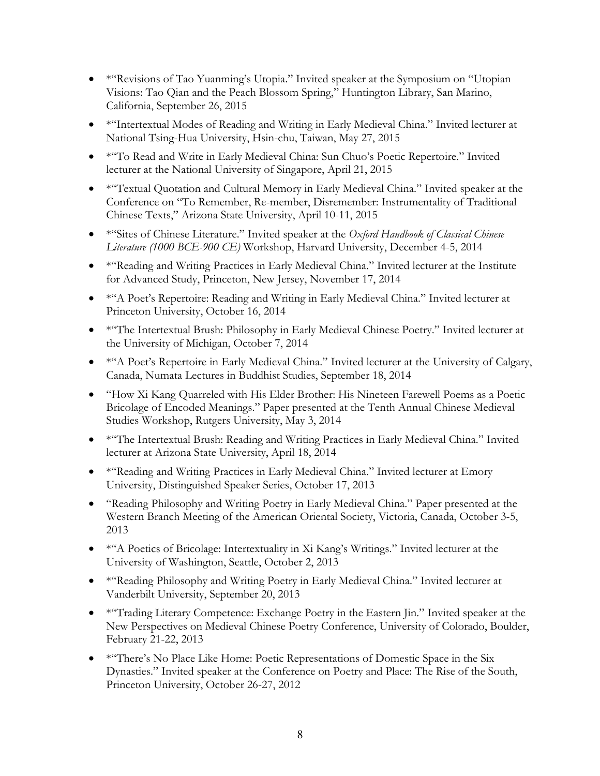- \* Kevisions of Tao Yuanming's Utopia." Invited speaker at the Symposium on "Utopian Visions: Tao Qian and the Peach Blossom Spring," Huntington Library, San Marino, California, September 26, 2015
- \* "Intertextual Modes of Reading and Writing in Early Medieval China." Invited lecturer at National Tsing-Hua University, Hsin-chu, Taiwan, May 27, 2015
- \*"To Read and Write in Early Medieval China: Sun Chuo's Poetic Repertoire." Invited lecturer at the National University of Singapore, April 21, 2015
- \*"Textual Quotation and Cultural Memory in Early Medieval China." Invited speaker at the Conference on "To Remember, Re-member, Disremember: Instrumentality of Traditional Chinese Texts," Arizona State University, April 10-11, 2015
- \*"Sites of Chinese Literature." Invited speaker at the *Oxford Handbook of Classical Chinese Literature (1000 BCE-900 CE)* Workshop, Harvard University, December 4-5, 2014
- \* "Reading and Writing Practices in Early Medieval China." Invited lecturer at the Institute for Advanced Study, Princeton, New Jersey, November 17, 2014
- \* "A Poet's Repertoire: Reading and Writing in Early Medieval China." Invited lecturer at Princeton University, October 16, 2014
- \* "The Intertextual Brush: Philosophy in Early Medieval Chinese Poetry." Invited lecturer at the University of Michigan, October 7, 2014
- \* "A Poet's Repertoire in Early Medieval China." Invited lecturer at the University of Calgary, Canada, Numata Lectures in Buddhist Studies, September 18, 2014
- "How Xi Kang Quarreled with His Elder Brother: His Nineteen Farewell Poems as a Poetic Bricolage of Encoded Meanings." Paper presented at the Tenth Annual Chinese Medieval Studies Workshop, Rutgers University, May 3, 2014
- \* "The Intertextual Brush: Reading and Writing Practices in Early Medieval China." Invited lecturer at Arizona State University, April 18, 2014
- \* "Reading and Writing Practices in Early Medieval China." Invited lecturer at Emory University, Distinguished Speaker Series, October 17, 2013
- "Reading Philosophy and Writing Poetry in Early Medieval China." Paper presented at the Western Branch Meeting of the American Oriental Society, Victoria, Canada, October 3-5, 2013
- \*"A Poetics of Bricolage: Intertextuality in Xi Kang's Writings." Invited lecturer at the University of Washington, Seattle, October 2, 2013
- \*"Reading Philosophy and Writing Poetry in Early Medieval China." Invited lecturer at Vanderbilt University, September 20, 2013
- \* <sup>\*</sup>Trading Literary Competence: Exchange Poetry in the Eastern Jin." Invited speaker at the New Perspectives on Medieval Chinese Poetry Conference, University of Colorado, Boulder, February 21-22, 2013
- \* "There's No Place Like Home: Poetic Representations of Domestic Space in the Six Dynasties." Invited speaker at the Conference on Poetry and Place: The Rise of the South, Princeton University, October 26-27, 2012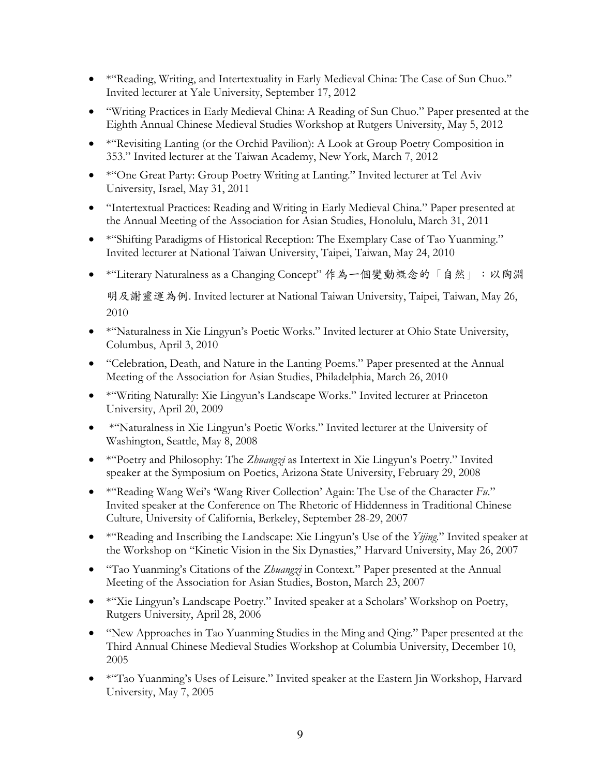- \*"Reading, Writing, and Intertextuality in Early Medieval China: The Case of Sun Chuo." Invited lecturer at Yale University, September 17, 2012
- "Writing Practices in Early Medieval China: A Reading of Sun Chuo." Paper presented at the Eighth Annual Chinese Medieval Studies Workshop at Rutgers University, May 5, 2012
- \*"Revisiting Lanting (or the Orchid Pavilion): A Look at Group Poetry Composition in 353." Invited lecturer at the Taiwan Academy, New York, March 7, 2012
- \* "One Great Party: Group Poetry Writing at Lanting." Invited lecturer at Tel Aviv University, Israel, May 31, 2011
- "Intertextual Practices: Reading and Writing in Early Medieval China." Paper presented at the Annual Meeting of the Association for Asian Studies, Honolulu, March 31, 2011
- \*"Shifting Paradigms of Historical Reception: The Exemplary Case of Tao Yuanming." Invited lecturer at National Taiwan University, Taipei, Taiwan, May 24, 2010
- \*"Literary Naturalness as a Changing Concept" 作為一個變動概念的「自然」:以陶淵

明及謝靈運為例. Invited lecturer at National Taiwan University, Taipei, Taiwan, May 26, 2010

- \*"Naturalness in Xie Lingyun's Poetic Works." Invited lecturer at Ohio State University, Columbus, April 3, 2010
- "Celebration, Death, and Nature in the Lanting Poems." Paper presented at the Annual Meeting of the Association for Asian Studies, Philadelphia, March 26, 2010
- \*"Writing Naturally: Xie Lingyun's Landscape Works." Invited lecturer at Princeton University, April 20, 2009
- \*"Naturalness in Xie Lingyun's Poetic Works." Invited lecturer at the University of Washington, Seattle, May 8, 2008
- \*"Poetry and Philosophy: The *Zhuangzi* as Intertext in Xie Lingyun's Poetry." Invited speaker at the Symposium on Poetics, Arizona State University, February 29, 2008
- \*"Reading Wang Wei's 'Wang River Collection' Again: The Use of the Character *Fu*." Invited speaker at the Conference on The Rhetoric of Hiddenness in Traditional Chinese Culture, University of California, Berkeley, September 28-29, 2007
- \*"Reading and Inscribing the Landscape: Xie Lingyun's Use of the *Yijing*." Invited speaker at the Workshop on "Kinetic Vision in the Six Dynasties," Harvard University, May 26, 2007
- "Tao Yuanming's Citations of the *Zhuangzi* in Context." Paper presented at the Annual Meeting of the Association for Asian Studies, Boston, March 23, 2007
- \*"Xie Lingyun's Landscape Poetry." Invited speaker at a Scholars' Workshop on Poetry, Rutgers University, April 28, 2006
- "New Approaches in Tao Yuanming Studies in the Ming and Qing." Paper presented at the Third Annual Chinese Medieval Studies Workshop at Columbia University, December 10, 2005
- \*"Tao Yuanming's Uses of Leisure." Invited speaker at the Eastern Jin Workshop, Harvard University, May 7, 2005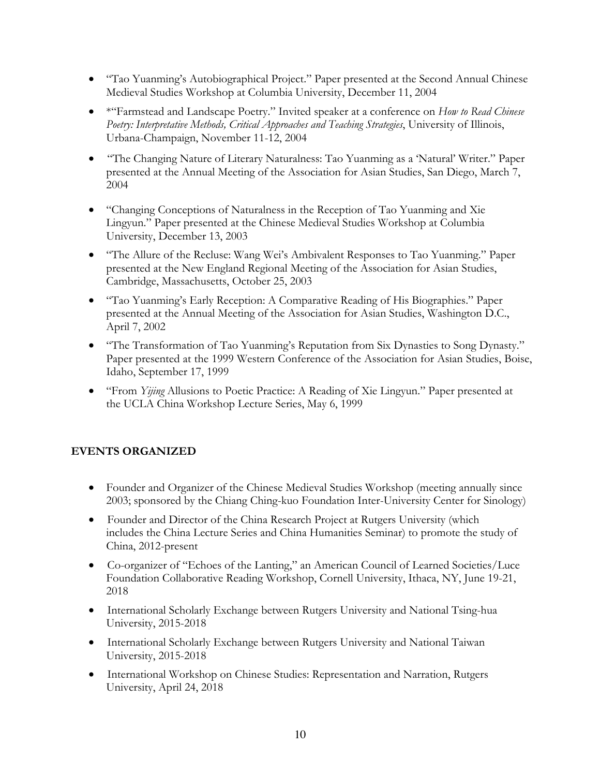- "Tao Yuanming's Autobiographical Project." Paper presented at the Second Annual Chinese Medieval Studies Workshop at Columbia University, December 11, 2004
- \*"Farmstead and Landscape Poetry." Invited speaker at a conference on *How to Read Chinese Poetry: Interpretative Methods, Critical Approaches and Teaching Strategies*, University of Illinois, Urbana-Champaign, November 11-12, 2004
- "The Changing Nature of Literary Naturalness: Tao Yuanming as a 'Natural' Writer." Paper presented at the Annual Meeting of the Association for Asian Studies, San Diego, March 7, 2004
- "Changing Conceptions of Naturalness in the Reception of Tao Yuanming and Xie Lingyun." Paper presented at the Chinese Medieval Studies Workshop at Columbia University, December 13, 2003
- "The Allure of the Recluse: Wang Wei's Ambivalent Responses to Tao Yuanming." Paper presented at the New England Regional Meeting of the Association for Asian Studies, Cambridge, Massachusetts, October 25, 2003
- "Tao Yuanming's Early Reception: A Comparative Reading of His Biographies." Paper presented at the Annual Meeting of the Association for Asian Studies, Washington D.C., April 7, 2002
- "The Transformation of Tao Yuanming's Reputation from Six Dynasties to Song Dynasty." Paper presented at the 1999 Western Conference of the Association for Asian Studies, Boise, Idaho, September 17, 1999
- "From *Yijing* Allusions to Poetic Practice: A Reading of Xie Lingyun." Paper presented at the UCLA China Workshop Lecture Series, May 6, 1999

# **EVENTS ORGANIZED**

- Founder and Organizer of the Chinese Medieval Studies Workshop (meeting annually since 2003; sponsored by the Chiang Ching-kuo Foundation Inter-University Center for Sinology)
- Founder and Director of the China Research Project at Rutgers University (which includes the China Lecture Series and China Humanities Seminar) to promote the study of China, 2012-present
- Co-organizer of "Echoes of the Lanting," an American Council of Learned Societies/Luce Foundation Collaborative Reading Workshop, Cornell University, Ithaca, NY, June 19-21, 2018
- International Scholarly Exchange between Rutgers University and National Tsing-hua University, 2015-2018
- International Scholarly Exchange between Rutgers University and National Taiwan University, 2015-2018
- International Workshop on Chinese Studies: Representation and Narration, Rutgers University, April 24, 2018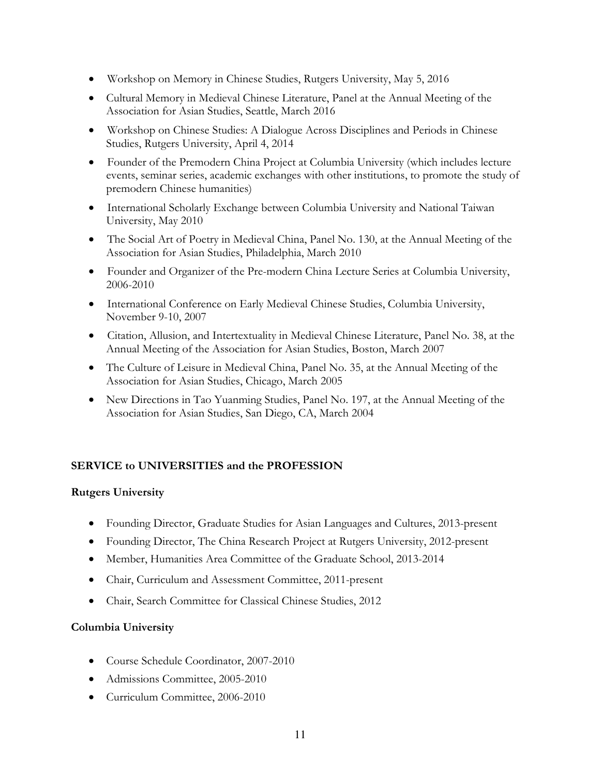- Workshop on Memory in Chinese Studies, Rutgers University, May 5, 2016
- Cultural Memory in Medieval Chinese Literature, Panel at the Annual Meeting of the Association for Asian Studies, Seattle, March 2016
- Workshop on Chinese Studies: A Dialogue Across Disciplines and Periods in Chinese Studies, Rutgers University, April 4, 2014
- Founder of the Premodern China Project at Columbia University (which includes lecture events, seminar series, academic exchanges with other institutions, to promote the study of premodern Chinese humanities)
- International Scholarly Exchange between Columbia University and National Taiwan University, May 2010
- The Social Art of Poetry in Medieval China, Panel No. 130, at the Annual Meeting of the Association for Asian Studies, Philadelphia, March 2010
- Founder and Organizer of the Pre-modern China Lecture Series at Columbia University, 2006-2010
- International Conference on Early Medieval Chinese Studies, Columbia University, November 9-10, 2007
- Citation, Allusion, and Intertextuality in Medieval Chinese Literature, Panel No. 38, at the Annual Meeting of the Association for Asian Studies, Boston, March 2007
- The Culture of Leisure in Medieval China, Panel No. 35, at the Annual Meeting of the Association for Asian Studies, Chicago, March 2005
- New Directions in Tao Yuanming Studies, Panel No. 197, at the Annual Meeting of the Association for Asian Studies, San Diego, CA, March 2004

# **SERVICE to UNIVERSITIES and the PROFESSION**

### **Rutgers University**

- Founding Director, Graduate Studies for Asian Languages and Cultures, 2013-present
- Founding Director, The China Research Project at Rutgers University, 2012-present
- Member, Humanities Area Committee of the Graduate School, 2013-2014
- Chair, Curriculum and Assessment Committee, 2011-present
- Chair, Search Committee for Classical Chinese Studies, 2012

### **Columbia University**

- Course Schedule Coordinator, 2007-2010
- Admissions Committee, 2005-2010
- Curriculum Committee, 2006-2010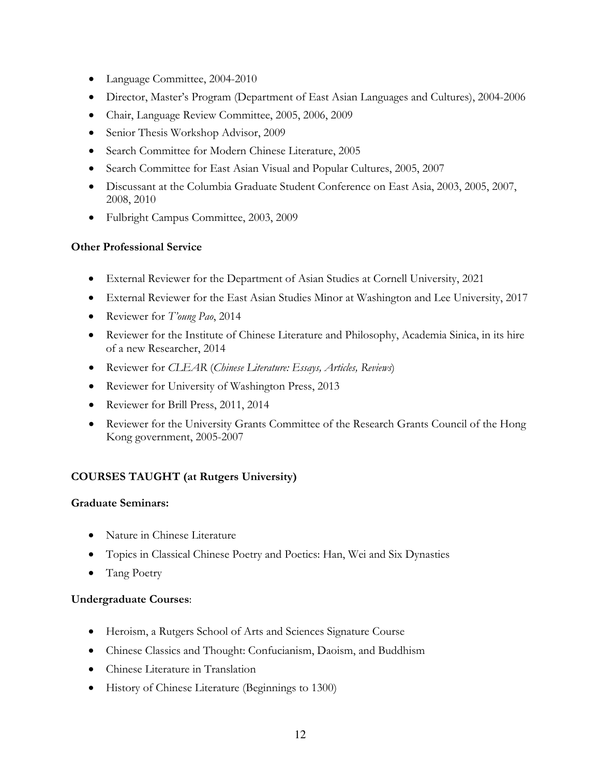- Language Committee, 2004-2010
- Director, Master's Program (Department of East Asian Languages and Cultures), 2004-2006
- Chair, Language Review Committee, 2005, 2006, 2009
- Senior Thesis Workshop Advisor, 2009
- Search Committee for Modern Chinese Literature, 2005
- Search Committee for East Asian Visual and Popular Cultures, 2005, 2007
- Discussant at the Columbia Graduate Student Conference on East Asia, 2003, 2005, 2007, 2008, 2010
- Fulbright Campus Committee, 2003, 2009

#### **Other Professional Service**

- External Reviewer for the Department of Asian Studies at Cornell University, 2021
- External Reviewer for the East Asian Studies Minor at Washington and Lee University, 2017
- Reviewer for *T'oung Pao*, 2014
- Reviewer for the Institute of Chinese Literature and Philosophy, Academia Sinica, in its hire of a new Researcher, 2014
- Reviewer for *CLEAR* (*Chinese Literature: Essays, Articles, Reviews*)
- Reviewer for University of Washington Press, 2013
- Reviewer for Brill Press, 2011, 2014
- Reviewer for the University Grants Committee of the Research Grants Council of the Hong Kong government, 2005-2007

### **COURSES TAUGHT (at Rutgers University)**

### **Graduate Seminars:**

- Nature in Chinese Literature
- Topics in Classical Chinese Poetry and Poetics: Han, Wei and Six Dynasties
- Tang Poetry

#### **Undergraduate Courses**:

- Heroism, a Rutgers School of Arts and Sciences Signature Course
- Chinese Classics and Thought: Confucianism, Daoism, and Buddhism
- Chinese Literature in Translation
- History of Chinese Literature (Beginnings to 1300)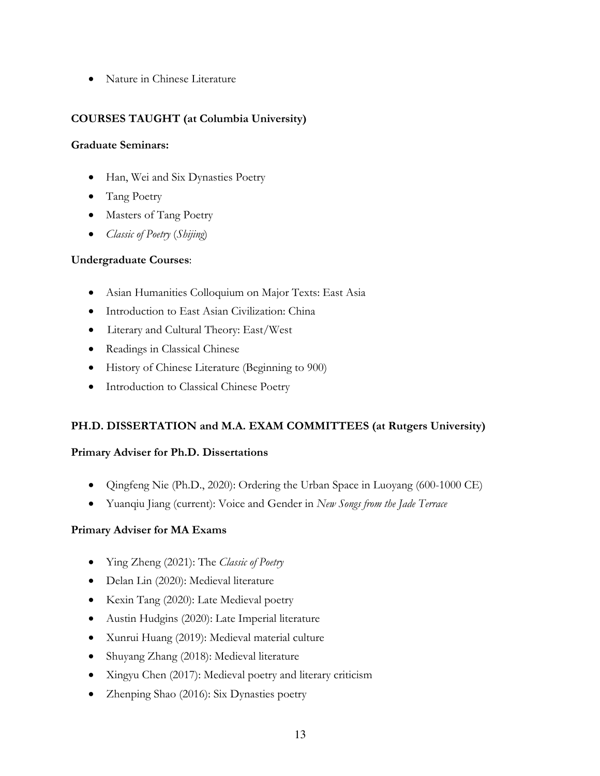• Nature in Chinese Literature

### **COURSES TAUGHT (at Columbia University)**

#### **Graduate Seminars:**

- Han, Wei and Six Dynasties Poetry
- Tang Poetry
- Masters of Tang Poetry
- *Classic of Poetry* (*Shijing*)

### **Undergraduate Courses**:

- Asian Humanities Colloquium on Major Texts: East Asia
- Introduction to East Asian Civilization: China
- Literary and Cultural Theory: East/West
- Readings in Classical Chinese
- History of Chinese Literature (Beginning to 900)
- Introduction to Classical Chinese Poetry

# **PH.D. DISSERTATION and M.A. EXAM COMMITTEES (at Rutgers University)**

### **Primary Adviser for Ph.D. Dissertations**

- Qingfeng Nie (Ph.D., 2020): Ordering the Urban Space in Luoyang (600-1000 CE)
- Yuanqiu Jiang (current): Voice and Gender in *New Songs from the Jade Terrace*

### **Primary Adviser for MA Exams**

- Ying Zheng (2021): The *Classic of Poetry*
- Delan Lin (2020): Medieval literature
- Kexin Tang (2020): Late Medieval poetry
- Austin Hudgins (2020): Late Imperial literature
- Xunrui Huang (2019): Medieval material culture
- Shuyang Zhang (2018): Medieval literature
- Xingyu Chen (2017): Medieval poetry and literary criticism
- Zhenping Shao (2016): Six Dynasties poetry